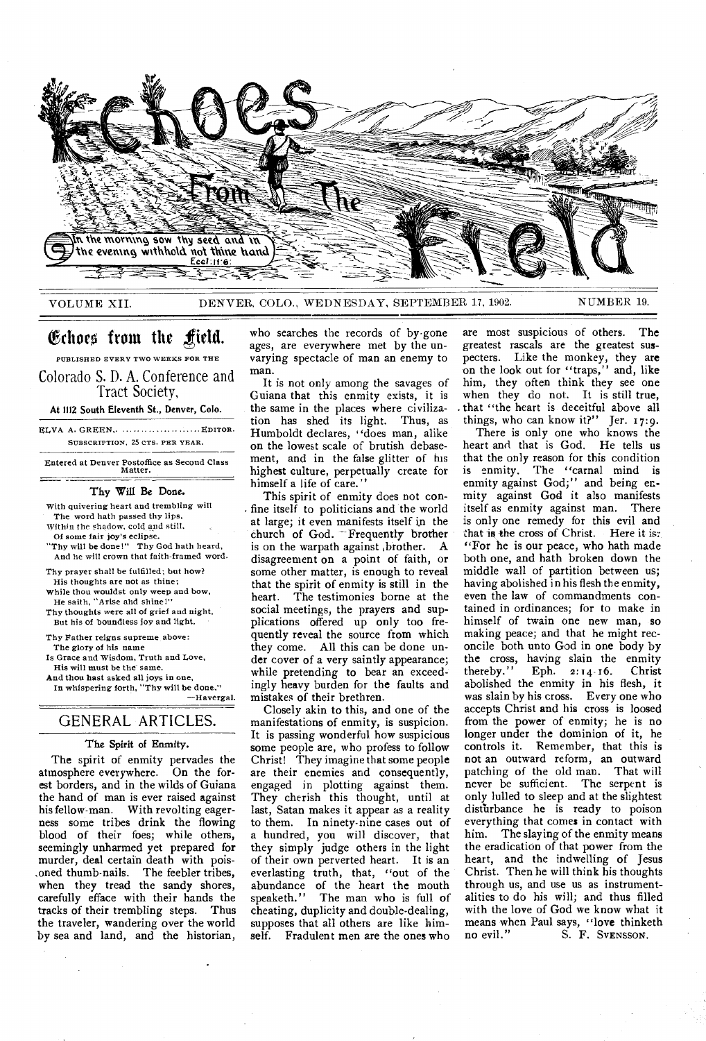

VOLUME XII. DENVER, COLO., WEDNESDAY, SEPTEMBER 17, 1902. NUMBER 19.

# (Echoed from the yield.

PUBLISHED EVERY TWO WEEKS FOR THE

Colorado S. D. A. Conference and Tract Society,

At 1112 South Eleventh St., Denver, Colo.

ELVA A. GREEN,. .... ...... EDITOR. SUBSCRIPTION, 25 CTS. PER YEAR.

Entered at Denver Postoffice as Second Class Matter.

#### Thy Will Be Done.

With quivering heart and trembling will The word hath passed thy lips, Within the shadow, cold and still, Of some fair joy's eclipse. "Thy will be done!" Thy God hath heard, And he will crown that faith-framed word. Thy prayer shall be fulfilled; but how? His thoughts are not as thine; While thou wouldst only weep and bow, He saith, "Arise and shine!" Thy thoughts were all of grief and night, But his of boundless joy and light. Thy Father reigns supreme above: The glory of his name Is Grace and Wisdom, Truth and Love, His will must be the same. And thou hest asked all joys in one,

In whispering forth, "Thy will be done," —Havergal.

## GENERAL ARTICLES.

#### The Spirit of Enmity.

The spirit of enmity pervades the atmosphere everywhere. On the forest borders, and in the wilds of Guiana the hand of man is ever raised against his fellow-man. With revolting eagerness some tribes drink the flowing blood of their foes; while others, seemingly unharmed yet prepared for murder, deal certain death with pois- ,oned thumb-nails. The feebler tribes, when they tread the sandy shores, carefully efface with their hands the tracks of their trembling steps. Thus the traveler, wandering over the world by sea and land, and the historian,

who searches the records of by-gone ages, are everywhere met by the unvarying spectacle of man an enemy to man.

It is not only among the savages of Guiana that this enmity exists, it is the same in the places where civilization has shed its light. Thus, as Humboldt declares, "does man, alike on the lowest scale of brutish debasement, and in the false glitter of his highest culture, perpetually create for himself a life of care."

This spirit of enmity does not confine itself to politicians and the world at large; it even manifests itself in the church of God. -- Frequently brother is on the warpath against brother. A disagreement on a point of faith, or some other matter, is enough to reveal that the spirit of enmity is still in the The testimonies borne at the social meetings, the prayers and supplications offered up only too frequently reveal the source from which they come. All this can be done under cover of a very saintly appearance; while pretending to bear an exceedingly heavy burden for the faults and mistakes of their brethren.

Closely akin to this, and one of the manifestations of enmity, is suspicion. It is passing wonderful how suspicious some people are, who profess to follow Christ! They imagine that some people are their enemies and consequently, engaged in plotting against them. They cherish this thought, until at last, Satan makes it appear as a reality to them. In ninety-nine cases out of a hundred, you will discover, that they simply judge others in the light of their own perverted heart. It is an everlasting truth, that, "out of the abundance of the heart the mouth<br>speaketh." The man who is full of The man who is full of cheating, duplicity and double-dealing, supposes that all others are like himself. Fradulent men are the ones who

are most suspicious of others. The greatest rascals are the greatest suspecters. Like the monkey, they are on the look out for "traps," and, like him, they often think they see one when they do not. It is still true, . that "the heart is deceitful above all things, who can know it?" Jer. 17:9.

There is only one who knows the heart and that is God. He tells us that the only reason for this condition is enmity. The "carnal mind is enmity against God;" and being enmity against God it also manifests itself as enmity against man. There is only one remedy for this evil and that is the cross of Christ. Here it is: "For he is our peace, who hath made both one, and hath broken down the middle wall of partition between us; having abolished in his flesh the enmity, even the law of commandments contained in ordinances; for to make in himself of twain one new man, so making peace; and that he might reconcile both unto God in one body by the cross, having slain the enmity<br>thereby." Eph. 2:14-16. Christ Eph.  $2:14.16$ . abolished the enmity in his flesh, it was slain by his cross. Every one who accepts Christ and his cross is loosed from the power of enmity; he is no longer under the dominion of it, he controls it. Remember, that this is not an outward re form, an outward patching of the old man. That will never be sufficient. The serpent is only lulled to sleep and at the slightest disthrbance he is ready to poison everything that comes in contact with him. The slaying of the enmity means the eradication of that power from the heart, and the indwelling of Jesus Christ. Then he will think his thoughts through us, and use us as instrumentalities to do his will; and thus filled with the love of God we know what it means when Paul says, "love thinketh<br>no evil."<br>S. F. SvENSSON. S. F. SVENSSON.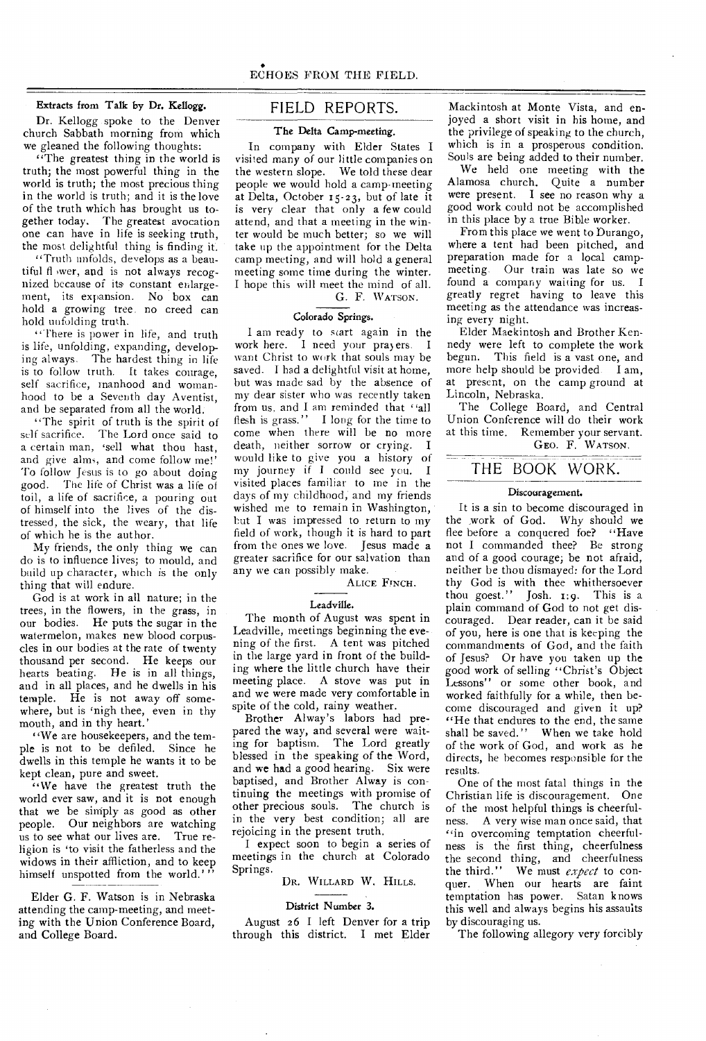#### Extracts from Talk by Dr. Kellogg.

Dr. Kellogg spoke to the Denver church Sabbath morning from which we gleaned the following thoughts:

"The greatest thing in the world is truth; the most powerful thing in the world is truth; the most precious thing in the world is truth; and it is the love of the truth which has brought us together today. The greatest avocation one can have in life is seeking truth, the most delightful thing is finding it.

"Truth unfolds, develops as a beautiful ft ,wer, and is not always recognized because of its constant enlargement, its expansion. No box can hold a growing tree no creed can hold unfolding truth.

"There is power in life, and truth is life, unfolding, expanding, developing always. The hardest thing in life is to follow truth. It takes courage, self sacrifice, manhood and womanhood to be a Seventh day Aventist, and be separated from all the world.

"The spirit of truth is the spirit of self sacrifice. The Lord once said to a certain man, 'sell what thou hast, and give alms, and come follow me! To follow Jesus is to go about doing good. The life of Christ was a life of toil, a life of sacrifice, a pouring out of himself into the lives of the distressed, the sick, the weary, that life of which he is the author.

My friends, the only thing we can do is to influence lives; to mould, and build up character, which is the only thing that will endure.

God is at work in all nature; in the trees, in the flowers, in the grass, in our bodies. He puts the sugar in the watermelon, makes new blood corpuscles in our bodies at the rate of twenty thousand per second. He keeps our hearts beating. He is in all things, and in all places, and he dwells in his temple. He is not away off somewhere, but is 'nigh thee, even in thy mouth, and in thy heart.'

"We are housekeepers, and the temple is not to be defiled. Since he dwells in this temple he wants it to be kept clean, pure and sweet.

"We have the greatest truth the world ever saw, and it is not enough that we be simply as good as other people. Our neighbors are watching us to see what our lives are. True religion is 'to visit the fatherless and the widows in their affliction, and to keep himself unspotted from the world.'

Elder G. F. Watson is in Nebraska attending the camp-meeting, and meeting with the Union Conference Board, and College Board.

## FIELD REPORTS.

#### The Delta Camp-meeting.

In company with Elder States I visited many of our little companies on the western slope. We told these dear people we would hold a camp-meeting at Delta, October 15-23, but of late it is very clear that only a few could attend, and that a meeting in the winter would be much better; so we will take up the appointment for the Delta camp meeting, and will hold a general meeting some time during the winter. I hope this will meet the mind of all.

## G. F. WATSON.

#### Colorado Springs.

I am ready to start again in the work here. I need your prayers. I want Christ to work that souls may be saved. I had a delightful visit at home, but was made sad by the absence of my dear sister who was recently taken from us, and I am reminded that "all flesh is grass." I long for the time to come when there will be no more death, neither sorrow or crying. I would like to give you a history of my journey if I could see you. I visited places familiar to me in the days of my childhood, and my friends wished me to remain in Washington, hut I was impressed to return to my field of work, though it is hard to part from the ones we love. Jesus made a greater sacrifice for our salvation than any we can possibly make.

ALICE FINCH.

#### Leadville.

The month of August was spent in Leadville, meetings beginning the evening of the first. A tent was pitched in the large yard in front of the building where the little church have their meeting place. A stove was put in and we were made very comfortable in spite of the cold, rainy weather.

Brother Alway's labors had prepared the way, and several were waiting for baptism. The Lord greatly blessed in the speaking of the Word, and we had a good hearing. Six were baptised, and Brother Alway is continuing the meetings with promise of other precious souls. The church is in the very best condition; all are rejoicing in the present truth.

I expect soon to begin a series of meetings in the church at Colorado Springs.

DR. WILLARD W. HILLS.

#### District Number 3.

August 26 I left Denver for a trip through this district. I met Elder Mackintosh at Monte Vista, and enjoyed a short visit in his home, and the privilege of speaking to the church, which is in a prosperous condition. Souls are being added to their number.

We held one meeting with the Alamosa church. Quite a number were present. I see no reason why a good work could not be accomplished in this place by a true Bible worker.

From this place we went to Durango, where a tent had been pitched, and preparation made for a local campmeeting. Our train was late so we found a company waiting for us. I greatly regret having to leave this meeting as the attendance was increasing every night.

Elder Mackintosh and Brother Kennedy were left to complete the work begun. This field is a vast one, and more help should be provided. I am, at present, on the camp ground at Lincoln, Nebraska.

The College Board, and Central Union Conference will do their work at this time. Remember your servant. GEO. F. WATSON.

## THE BOOK WORK.

#### Discouragement.

It is a sin to become discouraged in the ,work of God. Why should we flee before a conquered foe? "Have not I commanded thee? Be strong and of a good courage; be not afraid, neither be thou dismayed: for the Lord thy God is with thee whithersoever thou goest." Josh. 1:9. This is a plain command of God to not get discouraged. Dear reader, can it be said of you, here is one that is keeping the commandments of God, and the faith of Jesus? Or have you taken up the good work of selling "Christ's Object Lessons" or some other book, and worked faithfully for a while, then become discouraged and given it up? "He that endures to the end, the same shall be saved." When we take hold of the work of God, and work as he directs, he becomes responsible for the results.

One of the most fatal things in the Christian life is discouragement. One of the most helpful things is cheerfulness. A very wise man once said, that "in overcoming temptation cheerfulness is the first thing, cheerfulness the second thing, and cheerfulness the third." We must *expect* to conquer. When our hearts are faint temptation has power. Satan knows this well and always begins his assaults by discouraging us.

The following allegory very forcibly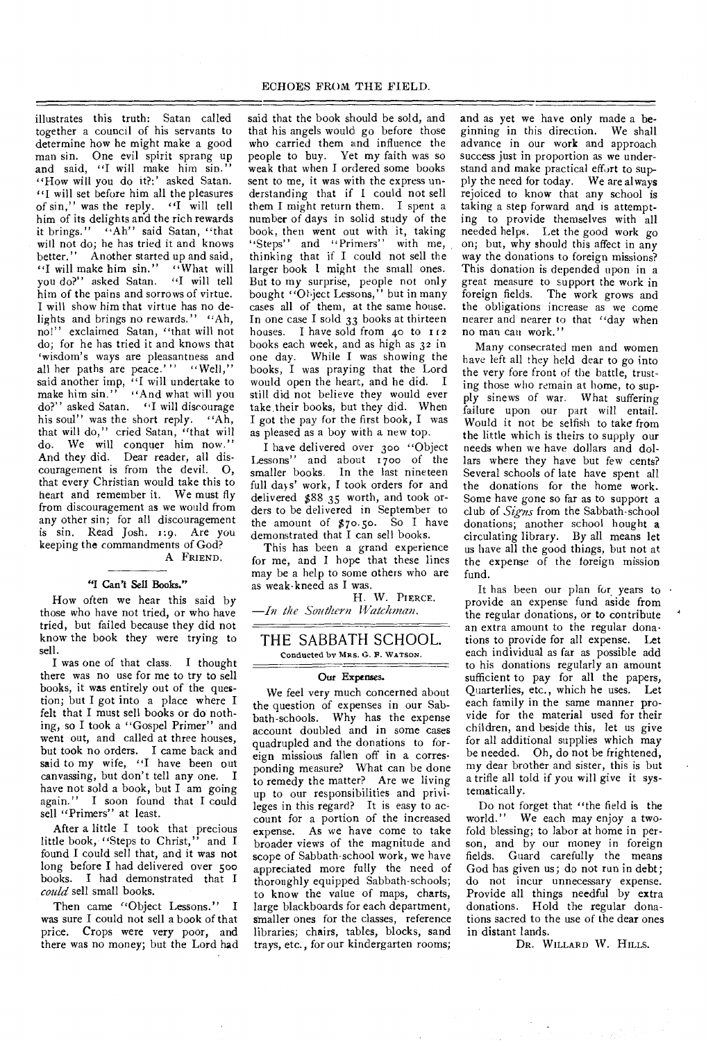illustrates this truth: Satan called together a council of his servants to determine how he might make a good man sin. One evil spirit sprang up and said, "I will make him sin." "How will you do it?:' asked Satan.<br>"I will set before him all the pleasures" of sin," was the reply. "I will tell him of its delights and the rich rewards it brings." "Ah" said Satan, ''that will not do; he has tried it and knows better." Another started up and said, "I will make him sin." "What will you do?" asked Satan. "I will tell him of the pains and sorrows of virtue. I will show him that virtue has no de-<br>lights and brings no rewards.'' "Ah, lights and brings no rewards." no!" exclaimed Satan, "that will not do; for he has tried it and knows that 'wisdom's ways are pleasantness and all her paths are peace.'" "Well," said another imp, "I will undertake to make him sin." "And what will you do?" asked Satan. "I will discourage his soul" was the short reply. "Ah, that will do," cried Satan, "that will do. We will conquer him now." And they did. Dear reader, all discouragement is from the devil. 0, that every Christian would take this to heart and remember it. We must fly from discouragement as we would from any other sin; for all discouragement is sin. Read Josh. 1:9. Are you keeping the commandments of God? A FRIEND.

#### "I Can't Sell Books."

How often we hear this said by those who have not tried, or who have tried, but failed because they did not know the book they were trying to sell.

I was one of that class. I thought there was no use for me to try to sell books, it was entirely out of the question; but I got into a place where I felt that I must sell books or do nothing, so I took a "Gospel Primer" and went out, and called at three houses, but took no orders. I came back and said to my wife, "I have been out canvassing, but don't tell any one. I have not sold a book, but I am going again." I soon found that I could sell "Primers" at least.

After a little I took that precious little book, "Steps to Christ," and I little book, "Steps to Christ," and I<br>found I could sell that, and it was not long before I had delivered over 500 books. I had demonstrated that I *could* sell small books.

Then came "Object Lessons." I was sure I could not sell a book of that price. Crops were very poor, and there was no money; but the Lord had said that the book should be sold, and that his angels would go before those who carried them and influence the people to buy. Yet my faith was so weak that when I ordered some books sent to me, it was with the express understanding that if I could not sell them I might return them. I spent a number of days in solid study of the book, then went out with it, taking "Steps" and "Primers" with me, thinking that if I could not sell the larger book 1 might the small ones. But to my surprise, people not only bought "Object Lessons," but in many cases all of them, at the same house. In one case I sold 33 books at thirteen houses. I have sold from  $40$  to  $112$ books each week, and as high as 32 in one day. While I was showing the books, I was praying that the Lord would open the heart, and he did. I still did not believe they would ever take.their books, but they did. When I got the pay for the first book, I was as pleased as a boy with a new top.

I have delivered over 300 "Object Lessons" and about 1700 of the smaller books. In the last nineteen full days' work, I took orders for and delivered \$88 35 worth, and took orders to be delivered in September to the amount of \$7o.5o. So I have demonstrated that I can sell books.

This has been a grand experience for me, and I hope that these lines may be a help to some others who are as weak-kneed as I was.

H. W. PIERCE.  $\longrightarrow$ *In the Southern Watchman.* 

THE SABBATH SCHOOL. Conducted by MRS. G. R. WATSON.

#### Our Expenses.

We feel very much concerned about the question of expenses in our Sabbath-schools. Why has the expense account doubled and in some cases quadrupled and the donations to foreign missious fallen off in a corresponding measure? What can be done to remedy the matter? Are we living up to our responsibilities and privileges in this regard? It is easy to account for a portion of the increased expense. As we have come to take broader views of the magnitude and scope of Sabbath-school work, we have appreciated more fully the need of thoroughly equipped Sabbath-schools; to know the value of maps, charts, large blackboards for each department, smaller ones for the classes, reference libraries; chairs, tables, blocks, sand trays, etc., for our kindergarten rooms;

and as yet we have only made a beginning in this direction. We shall advance in our work and approach success just in proportion as we understand and make practical effort to supply the need for today. We are always rejoiced to know that any school is taking a step forward and is attempting to provide themselves with all needed helps. Let the good work go on; but, why should this affect in any way the donations to foreign missions? This donation is depended upon in a great measure to support the work in foreign fields. The work grows and the obligations increase as we come nearer and nearer to that "day when no man can work."

Many consecrated men and women have left all they held dear to go into the very fore front of the battle, trusting those who remain at home, to supply sinews of war. What suffering failure upon our part will entail. Would it not be selfish to take from the little which is theirs to supply our needs when we have dollars and dollars where they have but few cents? Several schools of late have spent all the donations for the home work. Some have gone so far as to support a club of *Signs* from the Sabbath-school donations; another school bought a circulating library. By all means let us have all the good things, but not at the expense of the foreign mission fund.

It has been our plan for years to . provide an expense fund aside from the regular donations, or to contribute an extra amount to the regular donations to provide for all expense. Let each individual as far as possible add to his donations regularly an amount sufficient to pay for all the papers, Quarterlies, etc., which he uses. Let each family in the same manner provide for the material used for their children, and beside this, let us give for all additional supplies which may be needed. Oh, do not be frightened, my dear brother and sister, this is but a trifle all told if you will give it systematically.

Do not forget that "the field is the world." We each may enjoy a twofold blessing; to labor at home in person, and by our money in foreign fields. Guard carefully the means God has given us; do not run in debt; do not incur unnecessary expense. Provide all things needful by extra donations. Hold the regular donations sacred to the use of the dear ones in distant lands.

DR. WILLARD W. HILLS.